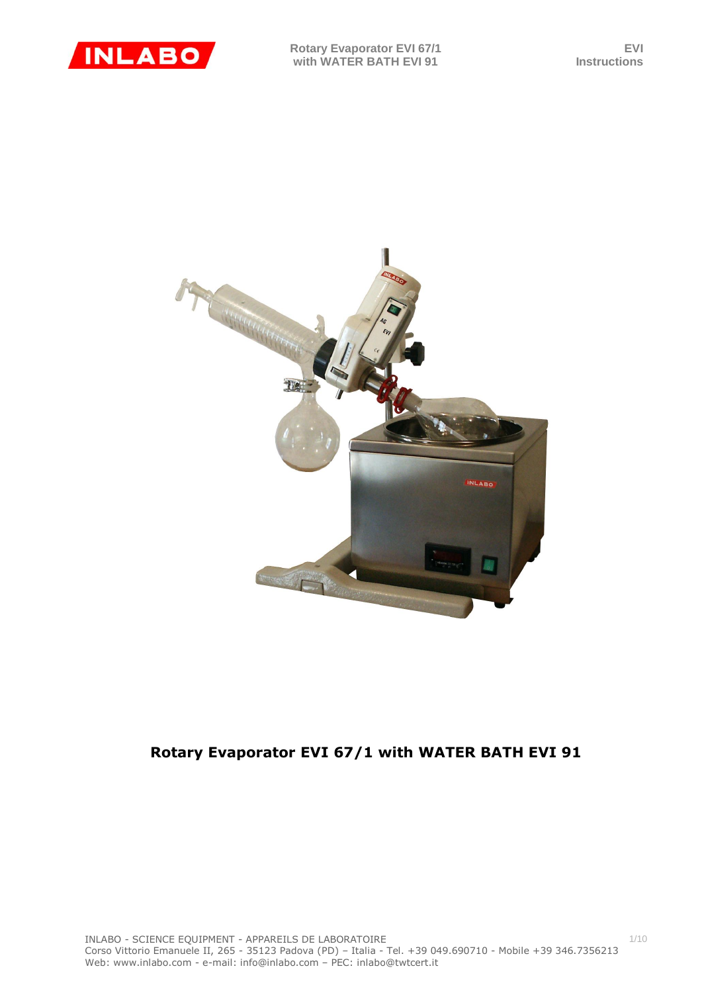

1/10



# **Rotary Evaporator EVI 67/1 with WATER BATH EVI 91**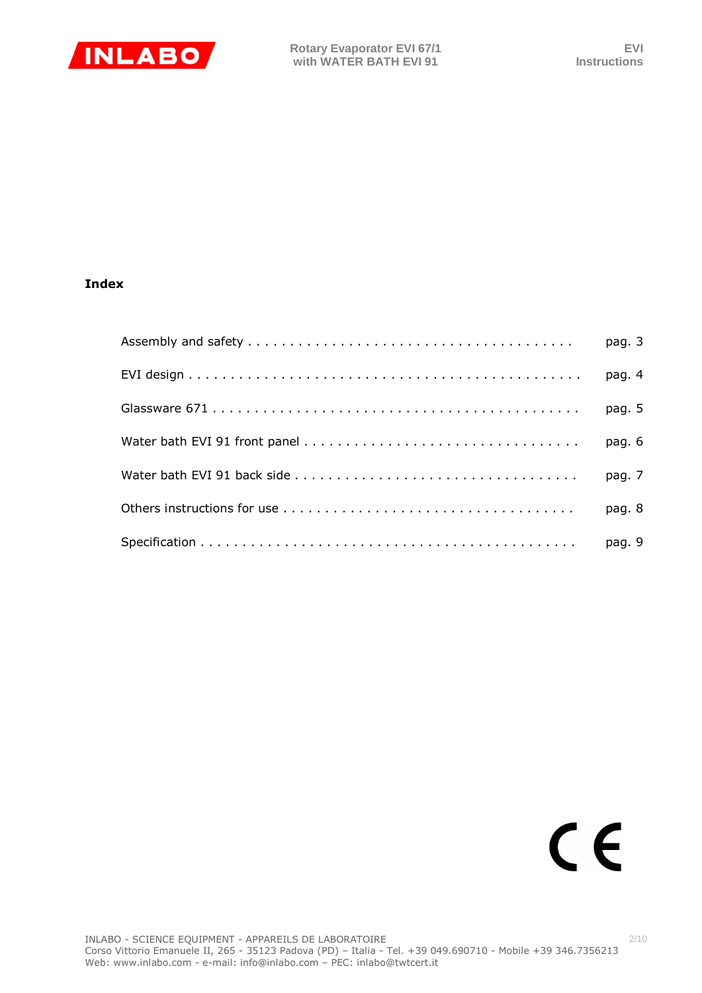

# **Index**

| pag. 5 |
|--------|
| pag. 6 |
| pag. 7 |
| pag. 8 |
|        |

# $C \in$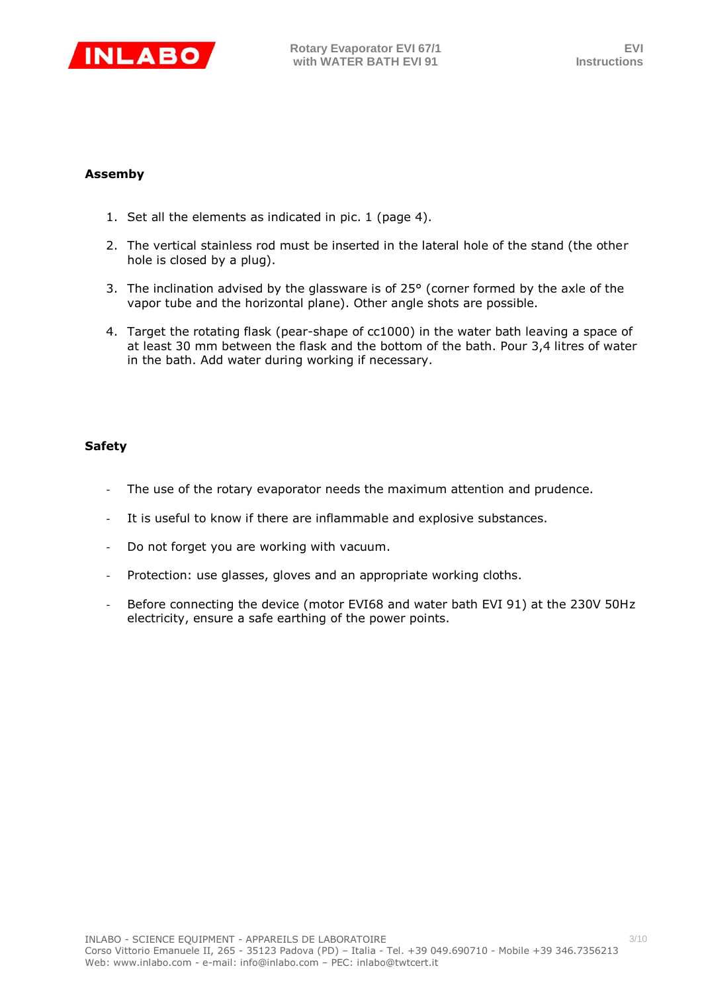

# **Assemby**

- 1. Set all the elements as indicated in pic. 1 (page 4).
- 2. The vertical stainless rod must be inserted in the lateral hole of the stand (the other hole is closed by a plug).
- 3. The inclination advised by the glassware is of 25° (corner formed by the axle of the vapor tube and the horizontal plane). Other angle shots are possible.
- 4. Target the rotating flask (pear-shape of cc1000) in the water bath leaving a space of at least 30 mm between the flask and the bottom of the bath. Pour 3,4 litres of water in the bath. Add water during working if necessary.

# **Safety**

- The use of the rotary evaporator needs the maximum attention and prudence.
- It is useful to know if there are inflammable and explosive substances.
- Do not forget you are working with vacuum.
- Protection: use glasses, gloves and an appropriate working cloths.
- Before connecting the device (motor EVI68 and water bath EVI 91) at the 230V 50Hz electricity, ensure a safe earthing of the power points.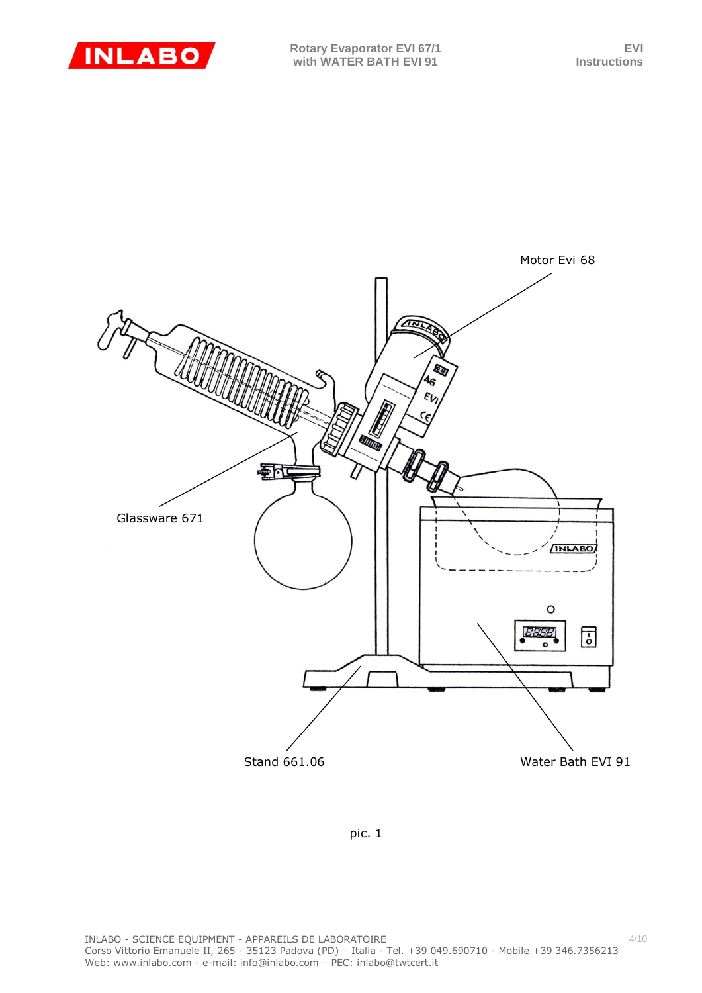



pic. 1

4/10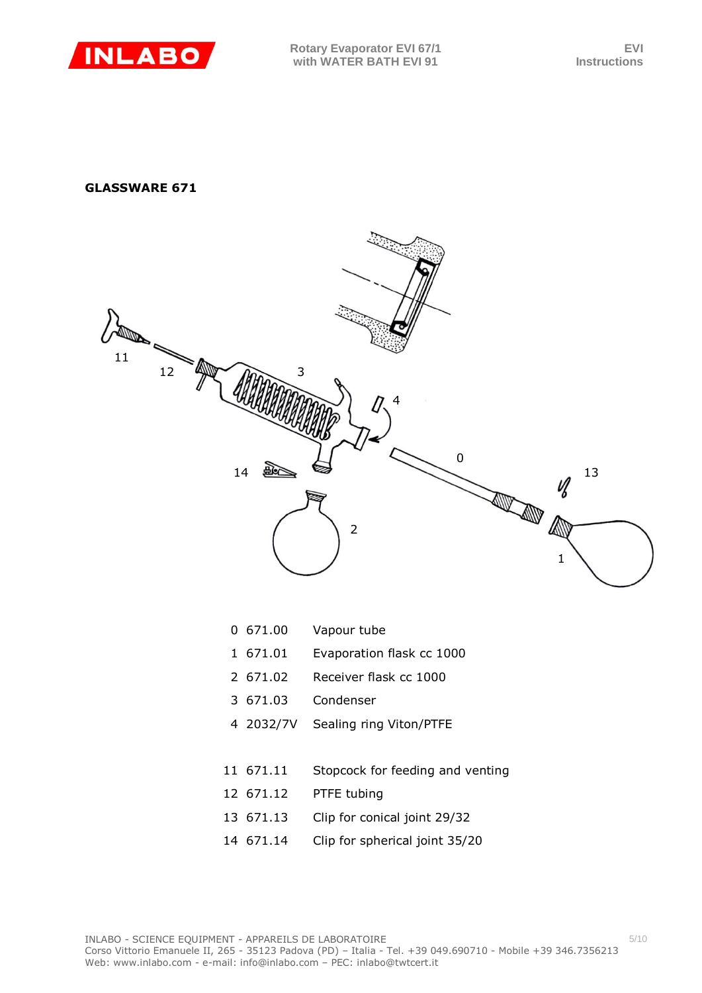

# **GLASSWARE 671**



- 671.01 Evaporation flask cc 1000
- 671.02 Receiver flask cc 1000
- 671.03 Condenser
- 2032/7V Sealing ring Viton/PTFE
- 671.11 Stopcock for feeding and venting
- 671.12 PTFE tubing
- 671.13 Clip for conical joint 29/32
- 671.14 Clip for spherical joint 35/20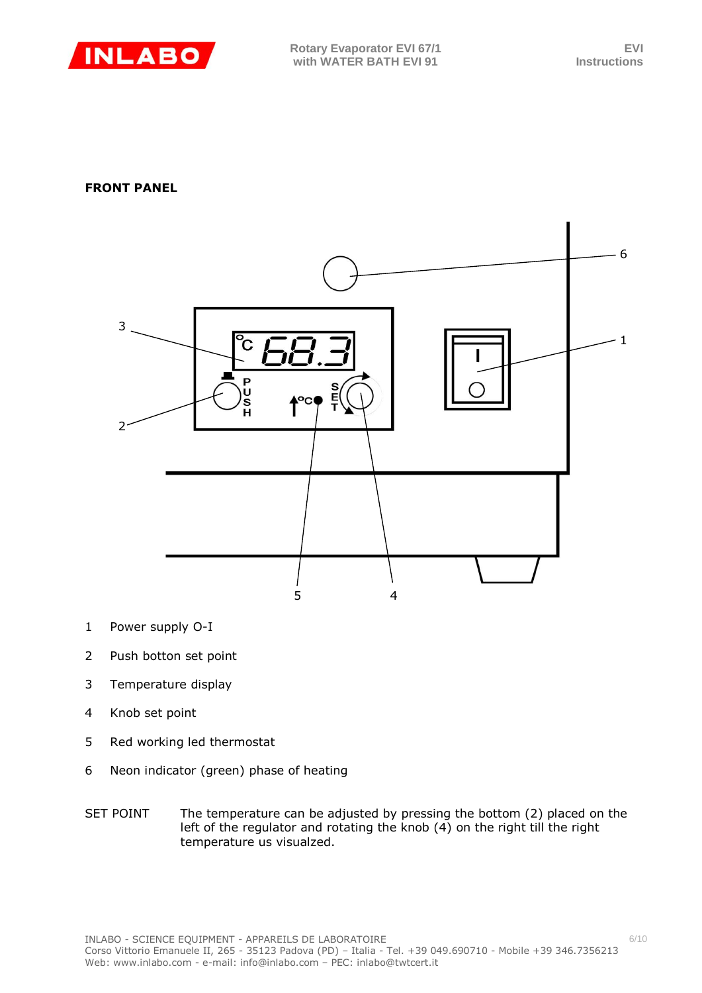

# **FRONT PANEL**



- 1 Power supply O-I
- 2 Push botton set point
- 3 Temperature display
- 4 Knob set point
- 5 Red working led thermostat
- 6 Neon indicator (green) phase of heating
- SET POINT The temperature can be adjusted by pressing the bottom (2) placed on the left of the regulator and rotating the knob (4) on the right till the right temperature us visualzed.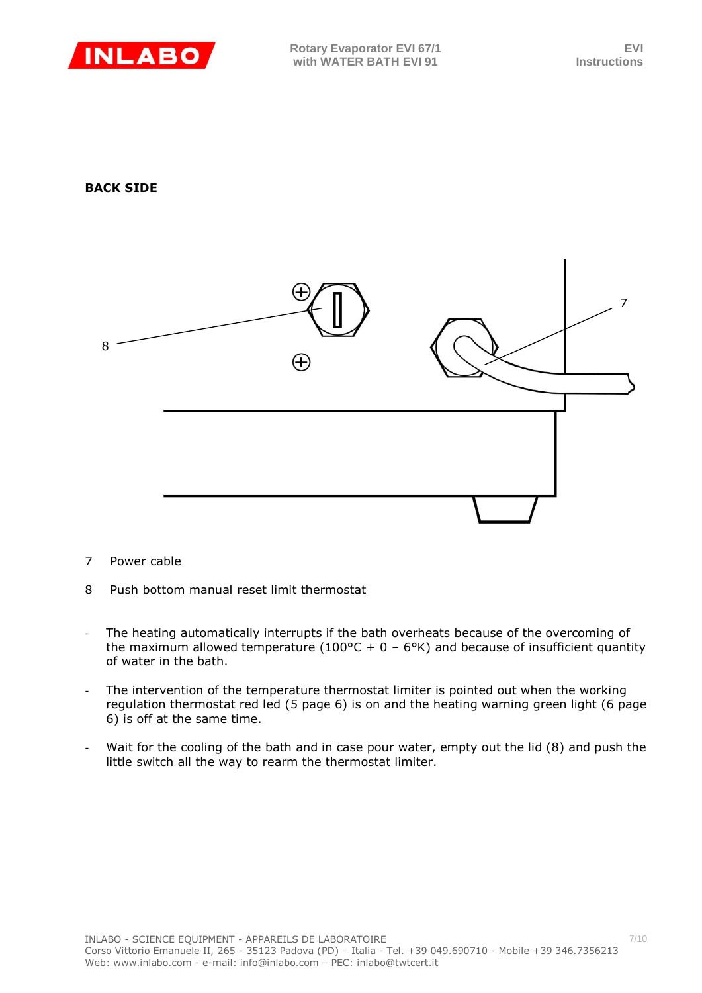

# **BACK SIDE**



- 7 Power cable
- 8 Push bottom manual reset limit thermostat
- The heating automatically interrupts if the bath overheats because of the overcoming of the maximum allowed temperature (100°C + 0 – 6°K) and because of insufficient quantity of water in the bath.
- The intervention of the temperature thermostat limiter is pointed out when the working regulation thermostat red led (5 page 6) is on and the heating warning green light (6 page 6) is off at the same time.
- Wait for the cooling of the bath and in case pour water, empty out the lid (8) and push the little switch all the way to rearm the thermostat limiter.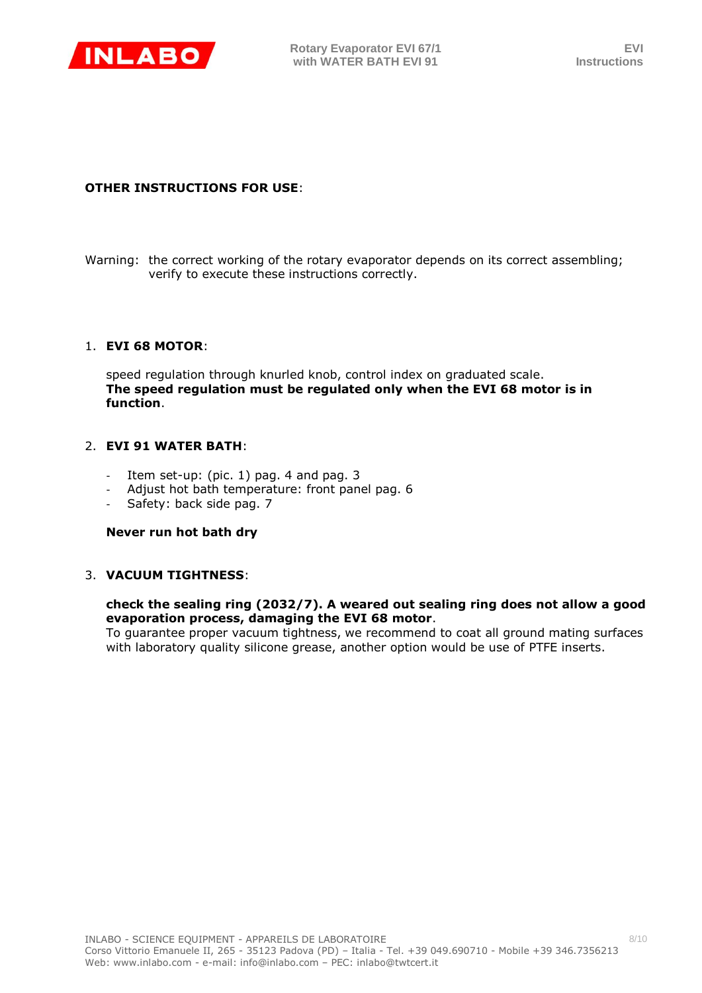

# **OTHER INSTRUCTIONS FOR USE**:

Warning: the correct working of the rotary evaporator depends on its correct assembling; verify to execute these instructions correctly.

# 1. **EVI 68 MOTOR**:

speed regulation through knurled knob, control index on graduated scale. **The speed regulation must be regulated only when the EVI 68 motor is in function**.

# 2. **EVI 91 WATER BATH**:

- Item set-up: (pic.  $1)$  pag. 4 and pag. 3
- Adjust hot bath temperature: front panel pag. 6
- Safety: back side pag. 7

#### **Never run hot bath dry**

# 3. **VACUUM TIGHTNESS**:

#### **check the sealing ring (2032/7). A weared out sealing ring does not allow a good evaporation process, damaging the EVI 68 motor**.

To guarantee proper vacuum tightness, we recommend to coat all ground mating surfaces with laboratory quality silicone grease, another option would be use of PTFE inserts.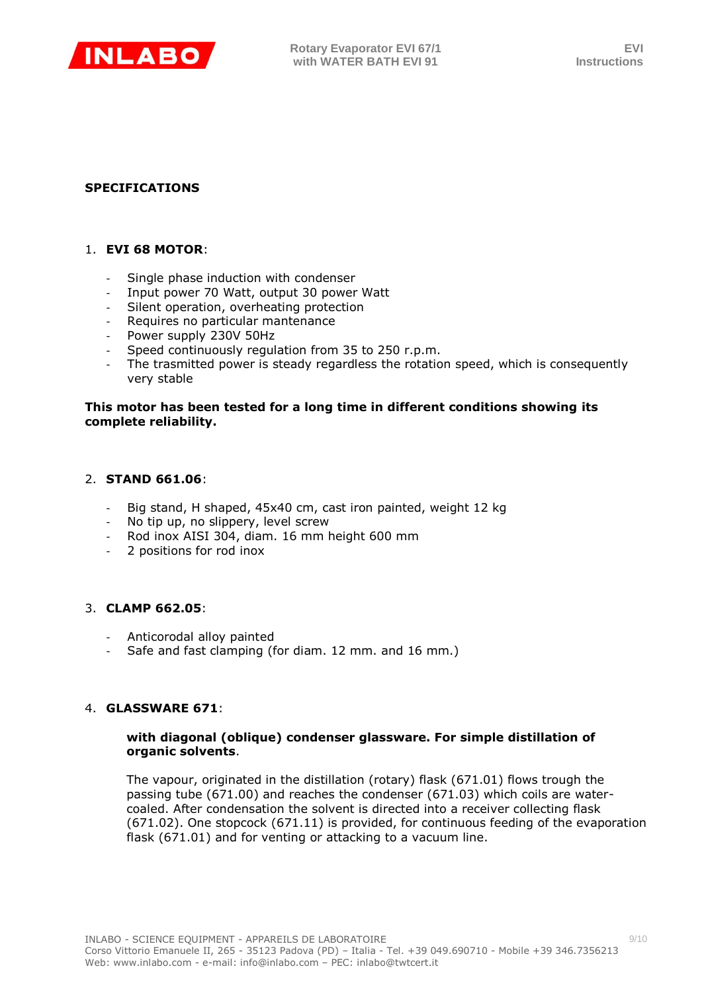

# **SPECIFICATIONS**

# 1. **EVI 68 MOTOR**:

- Single phase induction with condenser
- Input power 70 Watt, output 30 power Watt
- Silent operation, overheating protection
- Requires no particular mantenance
- Power supply 230V 50Hz
- Speed continuously regulation from 35 to 250 r.p.m.
- The trasmitted power is steady regardless the rotation speed, which is consequently very stable

#### **This motor has been tested for a long time in different conditions showing its complete reliability.**

#### 2. **STAND 661.06**:

- Big stand, H shaped, 45x40 cm, cast iron painted, weight 12 kg
- No tip up, no slippery, level screw
- Rod inox AISI 304, diam. 16 mm height 600 mm
- 2 positions for rod inox

#### 3. **CLAMP 662.05**:

- Anticorodal alloy painted
- Safe and fast clamping (for diam. 12 mm. and 16 mm.)

#### 4. **GLASSWARE 671**:

#### **with diagonal (oblique) condenser glassware. For simple distillation of organic solvents**.

The vapour, originated in the distillation (rotary) flask (671.01) flows trough the passing tube (671.00) and reaches the condenser (671.03) which coils are watercoaled. After condensation the solvent is directed into a receiver collecting flask (671.02). One stopcock (671.11) is provided, for continuous feeding of the evaporation flask (671.01) and for venting or attacking to a vacuum line.